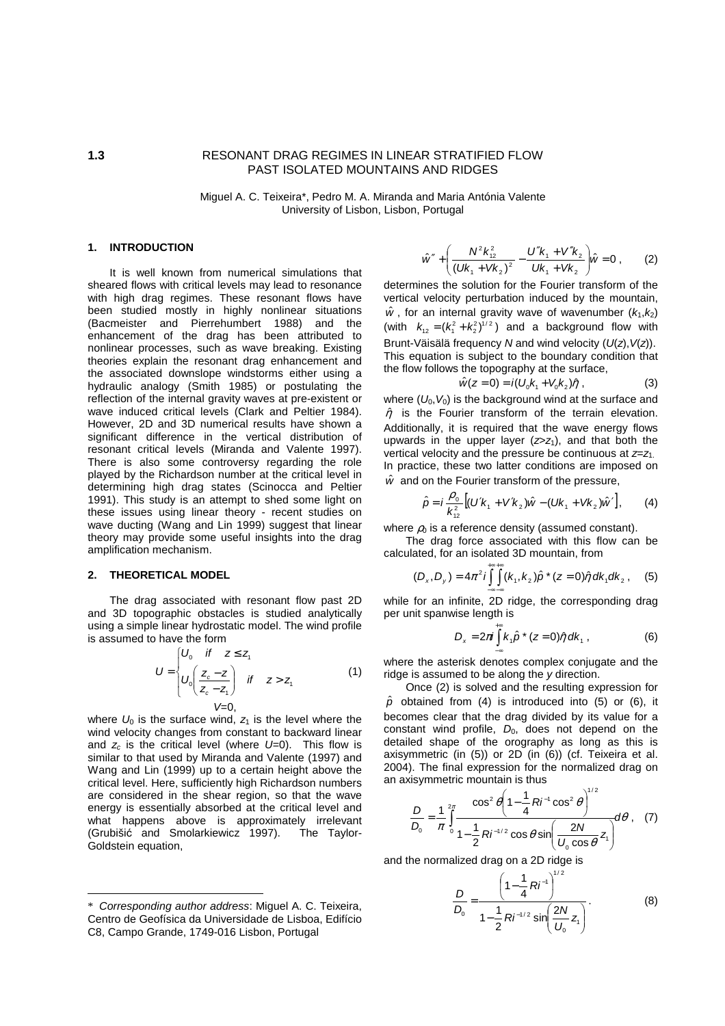# **1.3** RESONANT DRAG REGIMES IN LINEAR STRATIFIED FLOW PAST ISOLATED MOUNTAINS AND RIDGES

Miguel A. C. Teixeira\*, Pedro M. A. Miranda and Maria Antónia Valente University of Lisbon, Lisbon, Portugal

# **1. INTRODUCTION**\*

It is well known from numerical simulations that sheared flows with critical levels may lead to resonance with high drag regimes. These resonant flows have been studied mostly in highly nonlinear situations (Bacmeister and Pierrehumbert 1988) and the enhancement of the drag has been attributed to nonlinear processes, such as wave breaking. Existing theories explain the resonant drag enhancement and the associated downslope windstorms either using a hydraulic analogy (Smith 1985) or postulating the reflection of the internal gravity waves at pre-existent or wave induced critical levels (Clark and Peltier 1984). However, 2D and 3D numerical results have shown a significant difference in the vertical distribution of resonant critical levels (Miranda and Valente 1997). There is also some controversy regarding the role played by the Richardson number at the critical level in determining high drag states (Scinocca and Peltier 1991). This study is an attempt to shed some light on these issues using linear theory - recent studies on wave ducting (Wang and Lin 1999) suggest that linear theory may provide some useful insights into the drag amplification mechanism.

## **2. THEORETICAL MODEL**

 $\overline{a}$ 

The drag associated with resonant flow past 2D and 3D topographic obstacles is studied analytically using a simple linear hydrostatic model. The wind profile is assumed to have the form

$$
U = \begin{cases} U_0 & \text{if } z \le z_1 \\ U_0 \left( \frac{z_c - z}{z_c - z_1} \right) & \text{if } z > z_1 \\ V = 0, \end{cases}
$$
 (1)

where  $U_0$  is the surface wind,  $Z_1$  is the level where the wind velocity changes from constant to backward linear and  $z_c$  is the critical level (where  $U=0$ ). This flow is similar to that used by Miranda and Valente (1997) and Wang and Lin (1999) up to a certain height above the critical level. Here, sufficiently high Richardson numbers are considered in the shear region, so that the wave energy is essentially absorbed at the critical level and what happens above is approximately irrelevant (Grubišić and Smolarkiewicz 1997). The Taylor-Goldstein equation,

$$
\hat{w}'' + \left(\frac{N^2 k_{12}^2}{\left(Uk_1 + Vk_2\right)^2} - \frac{U''k_1 + V''k_2}{Uk_1 + Vk_2}\right)\hat{w} = 0 ,\qquad (2)
$$

determines the solution for the Fourier transform of the vertical velocity perturbation induced by the mountain,  $\hat{w}$ , for an internal gravity wave of wavenumber ( $k_1, k_2$ ) (with  $k_{12} = (k_1^2 + k_2^2)^{1/2}$ ) and a background flow with Brunt-Väisälä frequency N and wind velocity  $(U(z), V(z))$ . This equation is subject to the boundary condition that the flow follows the topography at the surface,

$$
\hat{w}(z=0) = i(U_0 k_1 + V_0 k_2) \hat{\eta} \tag{3}
$$

where  $(U_0, V_0)$  is the background wind at the surface and  $\hat{\eta}$  is the Fourier transform of the terrain elevation. Additionally, it is required that the wave energy flows upwards in the upper layer  $(z>z<sub>1</sub>)$ , and that both the vertical velocity and the pressure be continuous at  $z=z_1$ . In practice, these two latter conditions are imposed on  $\hat{w}$  and on the Fourier transform of the pressure,

$$
\hat{\rho} = i \frac{\rho_0}{k_{12}^2} \left[ (U'k_1 + V'k_2) \hat{w} - (Uk_1 + Vk_2) \hat{w}' \right],
$$
 (4)

where  $\rho_0$  is a reference density (assumed constant).

The drag force associated with this flow can be calculated, for an isolated 3D mountain, from

$$
(D_x, D_y) = 4\pi^2 i \int_{-\infty-\infty}^{+\infty+\infty} (k_1, k_2) \hat{p}^*(z=0) \hat{\eta} \, dk_1 dk_2 , \quad (5)
$$

while for an infinite, 2D ridge, the corresponding drag per unit spanwise length is

$$
D_x = 2\pi i \int_{-\infty}^{+\infty} k_1 \hat{p} \cdot (z=0) \hat{\eta} \, dk_1 , \qquad (6)
$$

where the asterisk denotes complex conjugate and the ridge is assumed to be along the y direction.

Once (2) is solved and the resulting expression for  $\hat{p}$  obtained from (4) is introduced into (5) or (6), it becomes clear that the drag divided by its value for a constant wind profile,  $D_0$ , does not depend on the detailed shape of the orography as long as this is axisymmetric (in (5)) or 2D (in (6)) (cf. Teixeira et al. 2004). The final expression for the normalized drag on an axisymmetric mountain is thus  $. 102$ 

$$
\frac{D}{D_0} = \frac{1}{\pi} \int_{0}^{2\pi} \frac{\cos^2 \theta \left(1 - \frac{1}{4} R i^{-1} \cos^2 \theta\right)^{1/2}}{1 - \frac{1}{2} R i^{-1/2} \cos \theta \sin \left(\frac{2N}{U_0 \cos \theta} z_1\right)} d\theta, \quad (7)
$$

and the normalized drag on a 2D ridge is

$$
\frac{D}{D_0} = \frac{\left(1 - \frac{1}{4}Ri^{-1}\right)^{1/2}}{1 - \frac{1}{2}Ri^{-1/2}\sin\left(\frac{2N}{U_0}z_1\right)}.
$$
(8)

<sup>\*</sup> Corresponding author address: Miguel A. C. Teixeira, Centro de Geofísica da Universidade de Lisboa, Edifício C8, Campo Grande, 1749-016 Lisbon, Portugal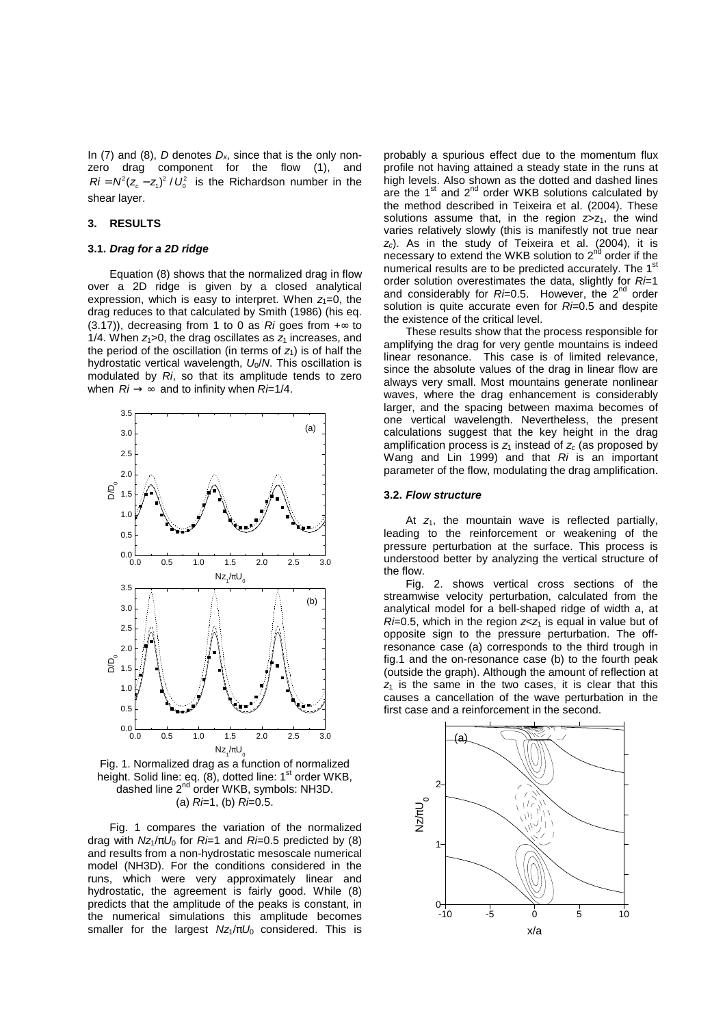In (7) and (8), D denotes  $D<sub>x</sub>$ , since that is the only nonzero drag component for the flow (1), and  $Ri = N^2(z_c - z_1)^2 / U_0^2$  is the Richardson number in the shear layer.

# **3. RESULTS**

## **3.1. Drag for a 2D ridge**

Equation (8) shows that the normalized drag in flow over a 2D ridge is given by a closed analytical expression, which is easy to interpret. When  $z_1=0$ , the drag reduces to that calculated by Smith (1986) (his eq. (3.17)), decreasing from 1 to 0 as Ri goes from  $+\infty$  to 1/4. When  $z_1>0$ , the drag oscillates as  $z_1$  increases, and the period of the oscillation (in terms of  $z_1$ ) is of half the hydrostatic vertical wavelength,  $U_0/N$ . This oscillation is modulated by Ri, so that its amplitude tends to zero when  $Ri \rightarrow \infty$  and to infinity when  $Ri=1/4$ .



Fig. 1. Normalized drag as a function of normalized height. Solid line: eq. (8), dotted line: 1<sup>st</sup> order WKB, dashed line 2<sup>nd</sup> order WKB, symbols: NH3D. (a)  $R = 1$ , (b)  $R = 0.5$ .

Fig. 1 compares the variation of the normalized drag with  $Nz_1/\pi U_0$  for  $R=1$  and  $R=0.5$  predicted by (8) and results from a non-hydrostatic mesoscale numerical model (NH3D). For the conditions considered in the runs, which were very approximately linear and hydrostatic, the agreement is fairly good. While (8) predicts that the amplitude of the peaks is constant, in the numerical simulations this amplitude becomes smaller for the largest  $Nz_1/\pi U_0$  considered. This is

probably a spurious effect due to the momentum flux profile not having attained a steady state in the runs at high levels. Also shown as the dotted and dashed lines are the 1<sup>st</sup> and 2<sup>nd</sup> order WKB solutions calculated by the method described in Teixeira et al. (2004). These solutions assume that, in the region  $z > z<sub>1</sub>$ , the wind varies relatively slowly (this is manifestly not true near  $z<sub>c</sub>$ ). As in the study of Teixeira et al. (2004), it is necessary to extend the WKB solution to 2<sup>nd</sup> order if the numerical results are to be predicted accurately. The 1<sup>st</sup> order solution overestimates the data, slightly for  $Ri=1$ and considerably for  $R = 0.5$ . However, the  $2^{nd}$  order solution is quite accurate even for  $R = 0.5$  and despite the existence of the critical level.

These results show that the process responsible for amplifying the drag for very gentle mountains is indeed linear resonance. This case is of limited relevance, since the absolute values of the drag in linear flow are always very small. Most mountains generate nonlinear waves, where the drag enhancement is considerably larger, and the spacing between maxima becomes of one vertical wavelength. Nevertheless, the present calculations suggest that the key height in the drag amplification process is  $z_1$  instead of  $z_c$  (as proposed by Wang and Lin 1999) and that  $Ri$  is an important parameter of the flow, modulating the drag amplification.

#### **3.2. Flow structure**

At  $z_1$ , the mountain wave is reflected partially, leading to the reinforcement or weakening of the pressure perturbation at the surface. This process is understood better by analyzing the vertical structure of the flow.

Fig. 2. shows vertical cross sections of the streamwise velocity perturbation, calculated from the analytical model for a bell-shaped ridge of width a, at  $Ri=0.5$ , which in the region  $z < z<sub>1</sub>$  is equal in value but of opposite sign to the pressure perturbation. The offresonance case (a) corresponds to the third trough in fig.1 and the on-resonance case (b) to the fourth peak (outside the graph). Although the amount of reflection at  $z<sub>1</sub>$  is the same in the two cases, it is clear that this causes a cancellation of the wave perturbation in the first case and a reinforcement in the second.

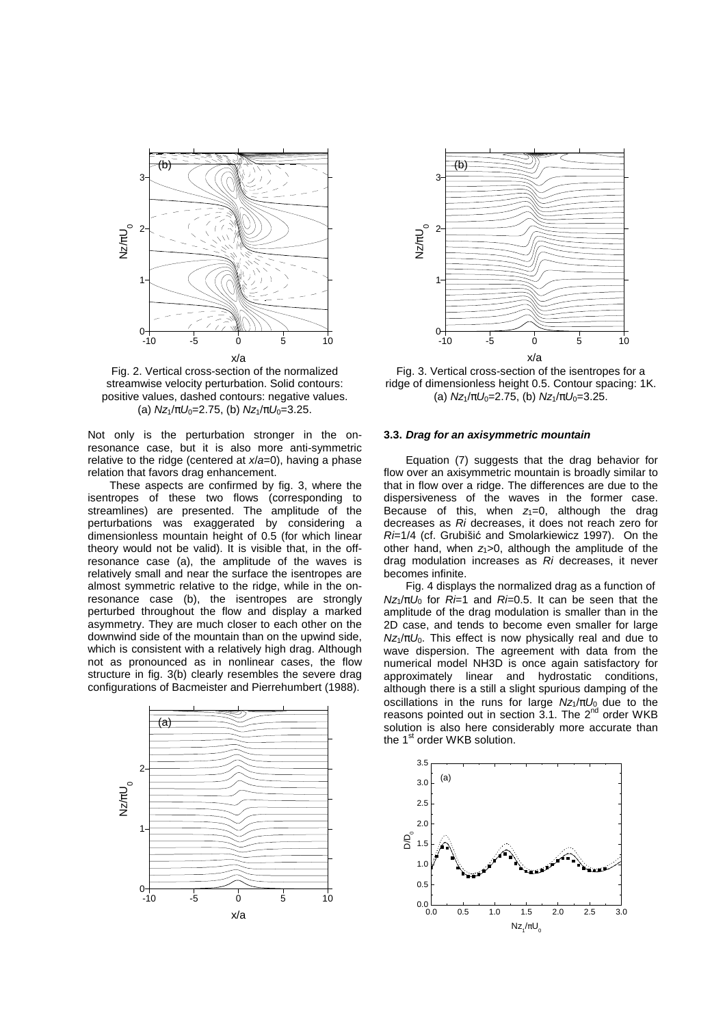

Fig. 2. Vertical cross-section of the normalized streamwise velocity perturbation. Solid contours: positive values, dashed contours: negative values. (a)  $Nz_1/\pi U_0 = 2.75$ , (b)  $Nz_1/\pi U_0 = 3.25$ .

Not only is the perturbation stronger in the onresonance case, but it is also more anti-symmetric relative to the ridge (centered at  $x/a=0$ ), having a phase relation that favors drag enhancement.

These aspects are confirmed by fig. 3, where the isentropes of these two flows (corresponding to streamlines) are presented. The amplitude of the perturbations was exaggerated by considering a dimensionless mountain height of 0.5 (for which linear theory would not be valid). It is visible that, in the offresonance case (a), the amplitude of the waves is relatively small and near the surface the isentropes are almost symmetric relative to the ridge, while in the onresonance case (b), the isentropes are strongly perturbed throughout the flow and display a marked asymmetry. They are much closer to each other on the downwind side of the mountain than on the upwind side, which is consistent with a relatively high drag. Although not as pronounced as in nonlinear cases, the flow structure in fig. 3(b) clearly resembles the severe drag configurations of Bacmeister and Pierrehumbert (1988).





Fig. 3. Vertical cross-section of the isentropes for a ridge of dimensionless height 0.5. Contour spacing: 1K. (a)  $Nz_1/\pi U_0 = 2.75$ , (b)  $Nz_1/\pi U_0 = 3.25$ .

# **3.3. Drag for an axisymmetric mountain**

Equation (7) suggests that the drag behavior for flow over an axisymmetric mountain is broadly similar to that in flow over a ridge. The differences are due to the dispersiveness of the waves in the former case. Because of this, when  $z_1=0$ , although the drag decreases as Ri decreases, it does not reach zero for Ri=1/4 (cf. Grubišić and Smolarkiewicz 1997). On the other hand, when  $z_1>0$ , although the amplitude of the drag modulation increases as Ri decreases, it never becomes infinite.

Fig. 4 displays the normalized drag as a function of  $Nz_1/\pi U_0$  for  $R=1$  and  $R=0.5$ . It can be seen that the amplitude of the drag modulation is smaller than in the 2D case, and tends to become even smaller for large  $Nz_1/\pi U_0$ . This effect is now physically real and due to wave dispersion. The agreement with data from the numerical model NH3D is once again satisfactory for approximately linear and hydrostatic conditions, although there is a still a slight spurious damping of the oscillations in the runs for large  $Nz_1/\pi U_0$  due to the reasons pointed out in section  $3.1$ . The  $2^{nd}$  order WKB solution is also here considerably more accurate than the 1<sup>st</sup> order WKB solution.